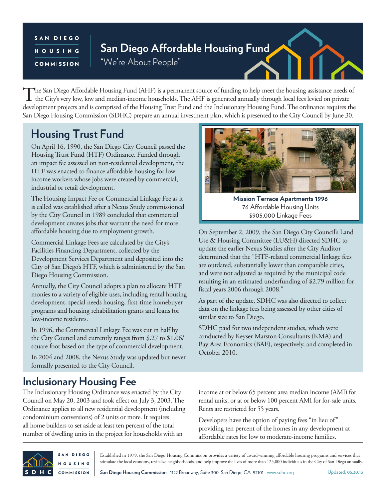#### SAN DIEGO HOUSING COMMISSION

# **San Diego Affordable Housing Fund**

"We're About People"

The San Diego Affordable Housing Fund (AHF) is a permanent source of funding to help meet the housing assistance needs of the City's very low, low and median-income households. The AHF is generated annually through local fees levied on private development projects and is comprised of the Housing Trust Fund and the Inclusionary Housing Fund. The ordinance requires the San Diego Housing Commission (SDHC) prepare an annual investment plan, which is presented to the City Council by June 30.

## **Housing Trust Fund**

On April 16, 1990, the San Diego City Council passed the Housing Trust Fund (HTF) Ordinance. Funded through an impact fee assessed on non-residential development, the HTF was enacted to finance affordable housing for lowincome workers whose jobs were created by commercial, industrial or retail development.

The Housing Impact Fee or Commercial Linkage Fee as it is called was established after a Nexus Study commissioned by the City Council in 1989 concluded that commercial development creates jobs that warrant the need for more affordable housing due to employment growth.

Commercial Linkage Fees are calculated by the City's Facilities Financing Department, collected by the Development Services Department and deposited into the City of San Diego's HTF, which is administered by the San Diego Housing Commission.

Annually, the City Council adopts a plan to allocate HTF monies to a variety of eligible uses, including rental housing development, special needs housing, first-time homebuyer programs and housing rehabilitation grants and loans for low-income residents.

In 1996, the Commercial Linkage Fee was cut in half by the City Council and currently ranges from \$.27 to \$1.06/ square foot based on the type of commercial development.

In 2004 and 2008, the Nexus Study was updated but never formally presented to the City Council.



**Mission Terrace Apartments 1996** 76 Affordable Housing Units \$905,000 Linkage Fees

On September 2, 2009, the San Diego City Council's Land Use & Housing Committee (LU&H) directed SDHC to update the earlier Nexus Studies after the City Auditor determined that the "HTF-related commercial linkage fees are outdated, substantially lower than comparable cities, and were not adjusted as required by the municipal code resulting in an estimated underfunding of \$2.79 million for fiscal years 2006 through 2008."

As part of the update, SDHC was also directed to collect data on the linkage fees being assessed by other cities of similar size to San Diego.

SDHC paid for two independent studies, which were conducted by Keyser Marston Consultants (KMA) and Bay Area Economics (BAE), respectively, and completed in October 2010.

### **Inclusionary Housing Fee**

The Inclusionary Housing Ordinance was enacted by the City Council on May 20, 2003 and took effect on July 3, 2003. The Ordinance applies to all new residential development (including condominium conversions) of 2 units or more. It requires all home builders to set aside at least ten percent of the total number of dwelling units in the project for households with an

income at or below 65 percent area median income (AMI) for rental units, or at or below 100 percent AMI for for-sale units. Rents are restricted for 55 years.

Developers have the option of paying fees "in lieu of" providing ten percent of the homes in any development at affordable rates for low to moderate-income families.



SAN DIEGO Established in 1979, the San Diego Housing Commission provides a variety of award-winning affordable housing programs and services that stimulate the local economy, revitalize neighborhoods, and help improve the lives of more than 125,000 individuals in the City of San Diego annually. **HOUSING** 

**San Diego Housing Commission** 1122 Broadway, Suite 300 San Diego, CA 92101 www.sdhc.org